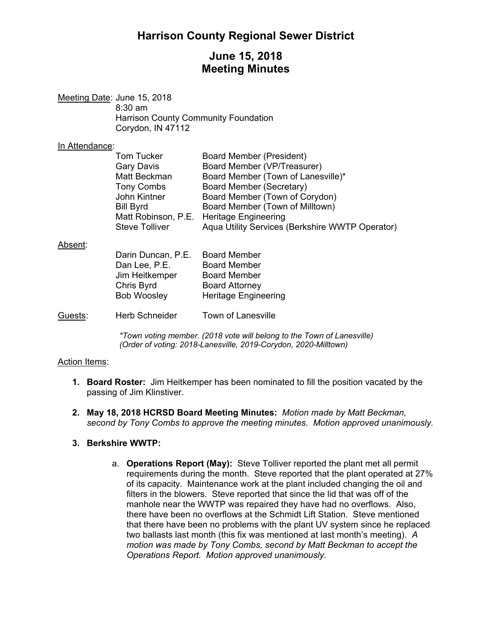# **Harrison County Regional Sewer District**

## **June 15, 2018 Meeting Minutes**

| Meeting Date: June 15, 2018                 |
|---------------------------------------------|
| $8:30$ am                                   |
| <b>Harrison County Community Foundation</b> |
| Corydon, IN 47112                           |

#### In Attendance:

| Tom Tucker            | Board Member (President)                        |
|-----------------------|-------------------------------------------------|
| <b>Gary Davis</b>     | Board Member (VP/Treasurer)                     |
| Matt Beckman          | Board Member (Town of Lanesville)*              |
| <b>Tony Combs</b>     | Board Member (Secretary)                        |
| John Kintner          | Board Member (Town of Corydon)                  |
| <b>Bill Byrd</b>      | Board Member (Town of Milltown)                 |
|                       | Matt Robinson, P.E. Heritage Engineering        |
| <b>Steve Tolliver</b> | Aqua Utility Services (Berkshire WWTP Operator) |
|                       |                                                 |

## $Ab$

| Absent: |                       |                             |
|---------|-----------------------|-----------------------------|
|         | Darin Duncan, P.E.    | <b>Board Member</b>         |
|         | Dan Lee, P.E.         | <b>Board Member</b>         |
|         | Jim Heitkemper        | <b>Board Member</b>         |
|         | Chris Byrd            | <b>Board Attorney</b>       |
|         | <b>Bob Woosley</b>    | <b>Heritage Engineering</b> |
|         |                       |                             |
| Guests: | <b>Herb Schneider</b> | Town of Lanesville          |

*\*Town voting member. (2018 vote will belong to the Town of Lanesville) (Order of voting: 2018-Lanesville, 2019-Corydon, 2020-Milltown)* 

### Action Items:

- **1. Board Roster:** Jim Heitkemper has been nominated to fill the position vacated by the passing of Jim Klinstiver.
- **2. May 18, 2018 HCRSD Board Meeting Minutes:** *Motion made by Matt Beckman, second by Tony Combs to approve the meeting minutes. Motion approved unanimously.*

### **3. Berkshire WWTP:**

a. **Operations Report (May):** Steve Tolliver reported the plant met all permit requirements during the month. Steve reported that the plant operated at 27% of its capacity. Maintenance work at the plant included changing the oil and filters in the blowers. Steve reported that since the lid that was off of the manhole near the WWTP was repaired they have had no overflows. Also, there have been no overflows at the Schmidt Lift Station. Steve mentioned that there have been no problems with the plant UV system since he replaced two ballasts last month (this fix was mentioned at last month's meeting). *A motion was made by Tony Combs, second by Matt Beckman to accept the Operations Report. Motion approved unanimously.*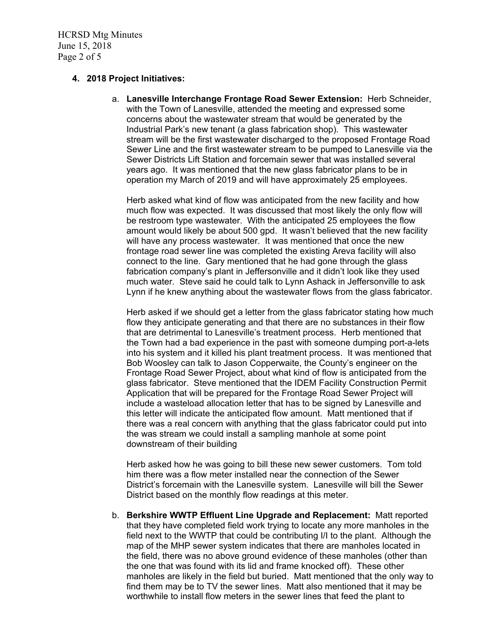HCRSD Mtg Minutes June 15, 2018 Page 2 of 5

#### **4. 2018 Project Initiatives:**

a. **Lanesville Interchange Frontage Road Sewer Extension:** Herb Schneider, with the Town of Lanesville, attended the meeting and expressed some concerns about the wastewater stream that would be generated by the Industrial Park's new tenant (a glass fabrication shop). This wastewater stream will be the first wastewater discharged to the proposed Frontage Road Sewer Line and the first wastewater stream to be pumped to Lanesville via the Sewer Districts Lift Station and forcemain sewer that was installed several years ago. It was mentioned that the new glass fabricator plans to be in operation my March of 2019 and will have approximately 25 employees.

Herb asked what kind of flow was anticipated from the new facility and how much flow was expected. It was discussed that most likely the only flow will be restroom type wastewater. With the anticipated 25 employees the flow amount would likely be about 500 gpd. It wasn't believed that the new facility will have any process wastewater. It was mentioned that once the new frontage road sewer line was completed the existing Areva facility will also connect to the line. Gary mentioned that he had gone through the glass fabrication company's plant in Jeffersonville and it didn't look like they used much water. Steve said he could talk to Lynn Ashack in Jeffersonville to ask Lynn if he knew anything about the wastewater flows from the glass fabricator.

Herb asked if we should get a letter from the glass fabricator stating how much flow they anticipate generating and that there are no substances in their flow that are detrimental to Lanesville's treatment process. Herb mentioned that the Town had a bad experience in the past with someone dumping port-a-lets into his system and it killed his plant treatment process. It was mentioned that Bob Woosley can talk to Jason Copperwaite, the County's engineer on the Frontage Road Sewer Project, about what kind of flow is anticipated from the glass fabricator. Steve mentioned that the IDEM Facility Construction Permit Application that will be prepared for the Frontage Road Sewer Project will include a wasteload allocation letter that has to be signed by Lanesville and this letter will indicate the anticipated flow amount. Matt mentioned that if there was a real concern with anything that the glass fabricator could put into the was stream we could install a sampling manhole at some point downstream of their building

Herb asked how he was going to bill these new sewer customers. Tom told him there was a flow meter installed near the connection of the Sewer District's forcemain with the Lanesville system. Lanesville will bill the Sewer District based on the monthly flow readings at this meter.

b. **Berkshire WWTP Effluent Line Upgrade and Replacement:** Matt reported that they have completed field work trying to locate any more manholes in the field next to the WWTP that could be contributing I/I to the plant. Although the map of the MHP sewer system indicates that there are manholes located in the field, there was no above ground evidence of these manholes (other than the one that was found with its lid and frame knocked off). These other manholes are likely in the field but buried. Matt mentioned that the only way to find them may be to TV the sewer lines. Matt also mentioned that it may be worthwhile to install flow meters in the sewer lines that feed the plant to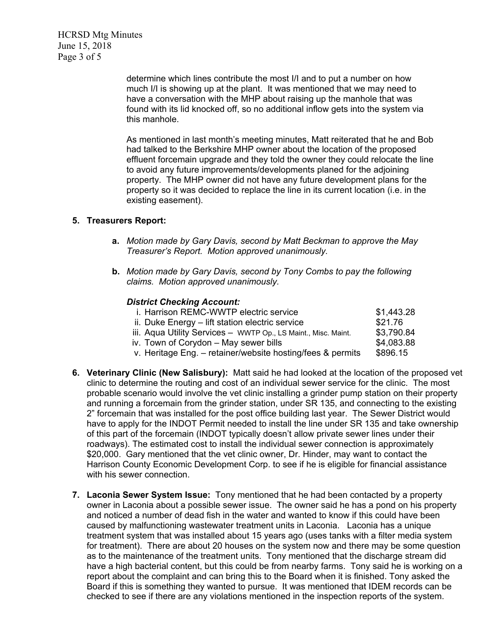HCRSD Mtg Minutes June 15, 2018 Page 3 of 5

> determine which lines contribute the most I/I and to put a number on how much I/I is showing up at the plant. It was mentioned that we may need to have a conversation with the MHP about raising up the manhole that was found with its lid knocked off, so no additional inflow gets into the system via this manhole.

As mentioned in last month's meeting minutes, Matt reiterated that he and Bob had talked to the Berkshire MHP owner about the location of the proposed effluent forcemain upgrade and they told the owner they could relocate the line to avoid any future improvements/developments planed for the adjoining property. The MHP owner did not have any future development plans for the property so it was decided to replace the line in its current location (i.e. in the existing easement).

#### **5. Treasurers Report:**

- **a.** *Motion made by Gary Davis, second by Matt Beckman to approve the May Treasurer's Report. Motion approved unanimously.*
- **b.** *Motion made by Gary Davis, second by Tony Combs to pay the following claims. Motion approved unanimously.*

#### *District Checking Account:*

| i. Harrison REMC-WWTP electric service                         | \$1,443.28 |
|----------------------------------------------------------------|------------|
| ii. Duke Energy - lift station electric service                | \$21.76    |
| iii. Aqua Utility Services - WWTP Op., LS Maint., Misc. Maint. | \$3,790.84 |
| iv. Town of Corydon - May sewer bills                          | \$4,083.88 |
| v. Heritage Eng. - retainer/website hosting/fees & permits     | \$896.15   |

- **6. Veterinary Clinic (New Salisbury):** Matt said he had looked at the location of the proposed vet clinic to determine the routing and cost of an individual sewer service for the clinic. The most probable scenario would involve the vet clinic installing a grinder pump station on their property and running a forcemain from the grinder station, under SR 135, and connecting to the existing 2" forcemain that was installed for the post office building last year. The Sewer District would have to apply for the INDOT Permit needed to install the line under SR 135 and take ownership of this part of the forcemain (INDOT typically doesn't allow private sewer lines under their roadways). The estimated cost to install the individual sewer connection is approximately \$20,000. Gary mentioned that the vet clinic owner, Dr. Hinder, may want to contact the Harrison County Economic Development Corp. to see if he is eligible for financial assistance with his sewer connection.
- **7. Laconia Sewer System Issue:** Tony mentioned that he had been contacted by a property owner in Laconia about a possible sewer issue. The owner said he has a pond on his property and noticed a number of dead fish in the water and wanted to know if this could have been caused by malfunctioning wastewater treatment units in Laconia. Laconia has a unique treatment system that was installed about 15 years ago (uses tanks with a filter media system for treatment). There are about 20 houses on the system now and there may be some question as to the maintenance of the treatment units. Tony mentioned that the discharge stream did have a high bacterial content, but this could be from nearby farms. Tony said he is working on a report about the complaint and can bring this to the Board when it is finished. Tony asked the Board if this is something they wanted to pursue. It was mentioned that IDEM records can be checked to see if there are any violations mentioned in the inspection reports of the system.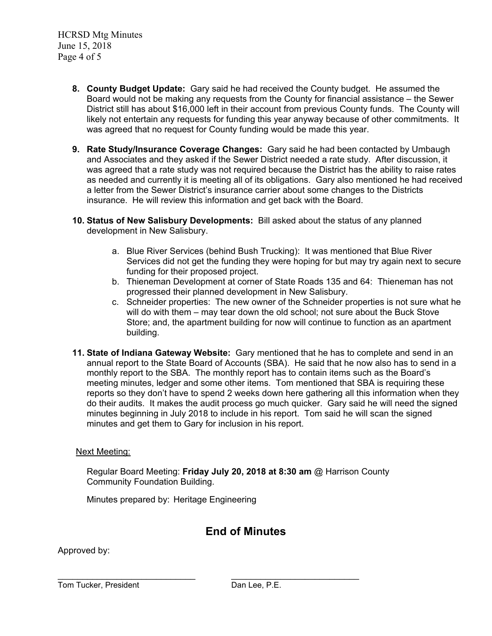HCRSD Mtg Minutes June 15, 2018 Page 4 of 5

- **8. County Budget Update:** Gary said he had received the County budget. He assumed the Board would not be making any requests from the County for financial assistance – the Sewer District still has about \$16,000 left in their account from previous County funds. The County will likely not entertain any requests for funding this year anyway because of other commitments. It was agreed that no request for County funding would be made this year.
- **9. Rate Study/Insurance Coverage Changes:** Gary said he had been contacted by Umbaugh and Associates and they asked if the Sewer District needed a rate study. After discussion, it was agreed that a rate study was not required because the District has the ability to raise rates as needed and currently it is meeting all of its obligations. Gary also mentioned he had received a letter from the Sewer District's insurance carrier about some changes to the Districts insurance. He will review this information and get back with the Board.
- **10. Status of New Salisbury Developments:** Bill asked about the status of any planned development in New Salisbury.
	- a. Blue River Services (behind Bush Trucking): It was mentioned that Blue River Services did not get the funding they were hoping for but may try again next to secure funding for their proposed project.
	- b. Thieneman Development at corner of State Roads 135 and 64: Thieneman has not progressed their planned development in New Salisbury.
	- c. Schneider properties: The new owner of the Schneider properties is not sure what he will do with them – may tear down the old school; not sure about the Buck Stove Store; and, the apartment building for now will continue to function as an apartment building.
- **11. State of Indiana Gateway Website:** Gary mentioned that he has to complete and send in an annual report to the State Board of Accounts (SBA). He said that he now also has to send in a monthly report to the SBA. The monthly report has to contain items such as the Board's meeting minutes, ledger and some other items. Tom mentioned that SBA is requiring these reports so they don't have to spend 2 weeks down here gathering all this information when they do their audits. It makes the audit process go much quicker. Gary said he will need the signed minutes beginning in July 2018 to include in his report. Tom said he will scan the signed minutes and get them to Gary for inclusion in his report.

### Next Meeting:

Regular Board Meeting: **Friday July 20, 2018 at 8:30 am** @ Harrison County Community Foundation Building.

Minutes prepared by: Heritage Engineering

# **End of Minutes**

Approved by:

Tom Tucker, President **Dan Lee, P.E.**